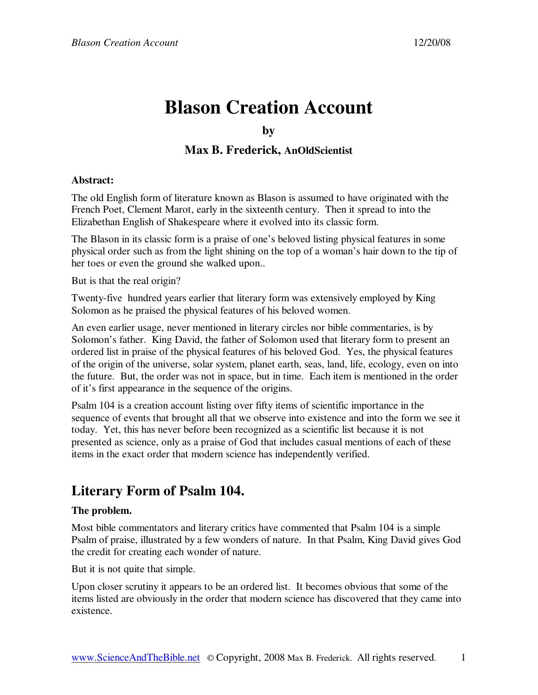# **Blason Creation Account**

### **by**

## **Max B. Frederick, AnOldScientist**

### **Abstract:**

The old English form of literature known as Blason is assumed to have originated with the French Poet, Clement Marot, early in the sixteenth century. Then it spread to into the Elizabethan English of Shakespeare where it evolved into its classic form.

The Blason in its classic form is a praise of one's beloved listing physical features in some physical order such as from the light shining on the top of a woman's hair down to the tip of her toes or even the ground she walked upon..

But is that the real origin?

Twenty-five hundred years earlier that literary form was extensively employed by King Solomon as he praised the physical features of his beloved women.

An even earlier usage, never mentioned in literary circles nor bible commentaries, is by Solomon's father. King David, the father of Solomon used that literary form to present an ordered list in praise of the physical features of his beloved God. Yes, the physical features of the origin of the universe, solar system, planet earth, seas, land, life, ecology, even on into the future. But, the order was not in space, but in time. Each item is mentioned in the order of it's first appearance in the sequence of the origins.

Psalm 104 is a creation account listing over fifty items of scientific importance in the sequence of events that brought all that we observe into existence and into the form we see it today. Yet, this has never before been recognized as a scientific list because it is not presented as science, only as a praise of God that includes casual mentions of each of these items in the exact order that modern science has independently verified.

# **Literary Form of Psalm 104.**

### **The problem.**

Most bible commentators and literary critics have commented that Psalm 104 is a simple Psalm of praise, illustrated by a few wonders of nature. In that Psalm, King David gives God the credit for creating each wonder of nature.

But it is not quite that simple.

Upon closer scrutiny it appears to be an ordered list. It becomes obvious that some of the items listed are obviously in the order that modern science has discovered that they came into existence.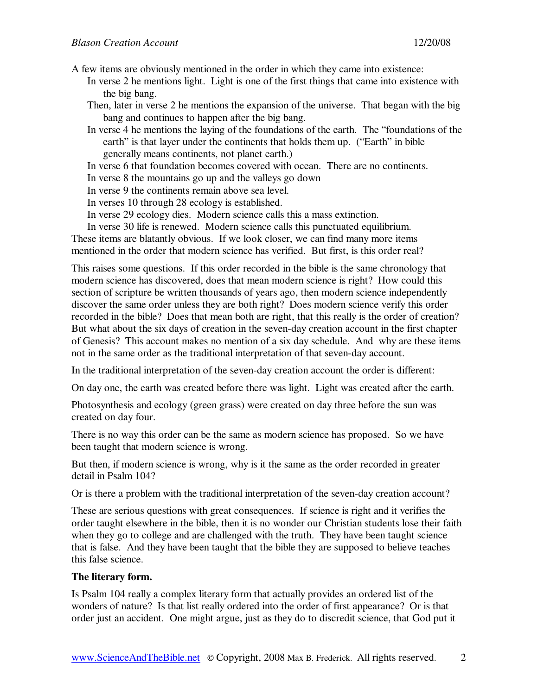A few items are obviously mentioned in the order in which they came into existence:

- In verse 2 he mentions light. Light is one of the first things that came into existence with the big bang.
- Then, later in verse 2 he mentions the expansion of the universe. That began with the big bang and continues to happen after the big bang.
- In verse 4 he mentions the laying of the foundations of the earth. The "foundations of the earth" is that layer under the continents that holds them up. ("Earth" in bible generally means continents, not planet earth.)
- In verse 6 that foundation becomes covered with ocean. There are no continents.
- In verse 8 the mountains go up and the valleys go down
- In verse 9 the continents remain above sea level.
- In verses 10 through 28 ecology is established.
- In verse 29 ecology dies. Modern science calls this a mass extinction.
- In verse 30 life is renewed. Modern science calls this punctuated equilibrium.

These items are blatantly obvious. If we look closer, we can find many more items mentioned in the order that modern science has verified. But first, is this order real?

This raises some questions. If this order recorded in the bible is the same chronology that modern science has discovered, does that mean modern science is right? How could this section of scripture be written thousands of years ago, then modern science independently discover the same order unless they are both right? Does modern science verify this order recorded in the bible? Does that mean both are right, that this really is the order of creation? But what about the six days of creation in the seven-day creation account in the first chapter of Genesis? This account makes no mention of a six day schedule. And why are these items not in the same order as the traditional interpretation of that seven-day account.

In the traditional interpretation of the seven-day creation account the order is different:

On day one, the earth was created before there was light. Light was created after the earth.

Photosynthesis and ecology (green grass) were created on day three before the sun was created on day four.

There is no way this order can be the same as modern science has proposed. So we have been taught that modern science is wrong.

But then, if modern science is wrong, why is it the same as the order recorded in greater detail in Psalm 104?

Or is there a problem with the traditional interpretation of the seven-day creation account?

These are serious questions with great consequences. If science is right and it verifies the order taught elsewhere in the bible, then it is no wonder our Christian students lose their faith when they go to college and are challenged with the truth. They have been taught science that is false. And they have been taught that the bible they are supposed to believe teaches this false science.

### **The literary form.**

Is Psalm 104 really a complex literary form that actually provides an ordered list of the wonders of nature? Is that list really ordered into the order of first appearance? Or is that order just an accident. One might argue, just as they do to discredit science, that God put it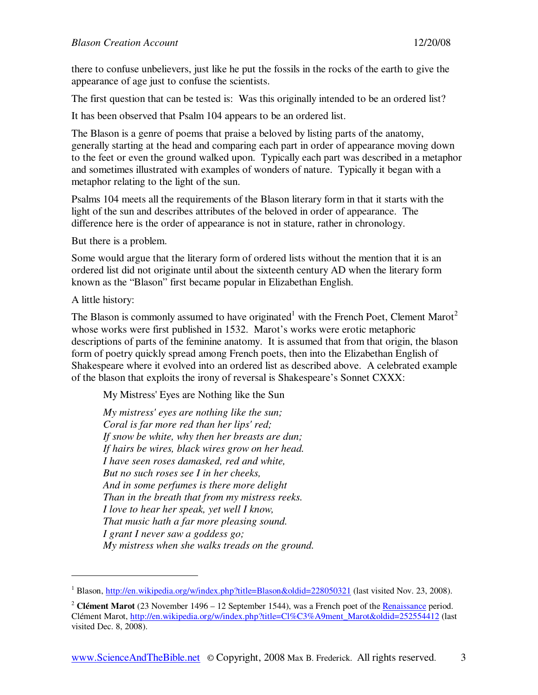there to confuse unbelievers, just like he put the fossils in the rocks of the earth to give the appearance of age just to confuse the scientists.

The first question that can be tested is: Was this originally intended to be an ordered list?

It has been observed that Psalm 104 appears to be an ordered list.

The Blason is a genre of poems that praise a beloved by listing parts of the anatomy, generally starting at the head and comparing each part in order of appearance moving down to the feet or even the ground walked upon. Typically each part was described in a metaphor and sometimes illustrated with examples of wonders of nature. Typically it began with a metaphor relating to the light of the sun.

Psalms 104 meets all the requirements of the Blason literary form in that it starts with the light of the sun and describes attributes of the beloved in order of appearance. The difference here is the order of appearance is not in stature, rather in chronology.

But there is a problem.

Some would argue that the literary form of ordered lists without the mention that it is an ordered list did not originate until about the sixteenth century AD when the literary form known as the "Blason" first became popular in Elizabethan English.

A little history:

-

The Blason is commonly assumed to have originated<sup>1</sup> with the French Poet, Clement Marot<sup>2</sup> whose works were first published in 1532. Marot's works were erotic metaphoric descriptions of parts of the feminine anatomy. It is assumed that from that origin, the blason form of poetry quickly spread among French poets, then into the Elizabethan English of Shakespeare where it evolved into an ordered list as described above. A celebrated example of the blason that exploits the irony of reversal is Shakespeare's Sonnet CXXX:

My Mistress' Eyes are Nothing like the Sun

*My mistress' eyes are nothing like the sun; Coral is far more red than her lips' red; If snow be white, why then her breasts are dun; If hairs be wires, black wires grow on her head. I have seen roses damasked, red and white, But no such roses see I in her cheeks, And in some perfumes is there more delight Than in the breath that from my mistress reeks. I love to hear her speak, yet well I know, That music hath a far more pleasing sound. I grant I never saw a goddess go; My mistress when she walks treads on the ground.* 

<sup>&</sup>lt;sup>1</sup> Blason, http://en.wikipedia.org/w/index.php?title=Blason&oldid=228050321 (last visited Nov. 23, 2008).

<sup>2</sup> **Clément Marot** (23 November 1496 – 12 September 1544), was a French poet of the Renaissance period. Clément Marot, http://en.wikipedia.org/w/index.php?title=Cl%C3%A9ment\_Marot&oldid=252554412 (last visited Dec. 8, 2008).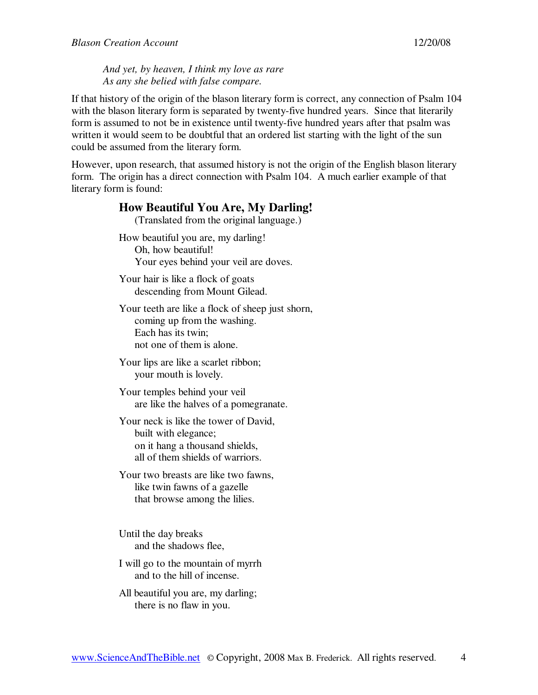*And yet, by heaven, I think my love as rare As any she belied with false compare.*

If that history of the origin of the blason literary form is correct, any connection of Psalm 104 with the blason literary form is separated by twenty-five hundred years. Since that literarily form is assumed to not be in existence until twenty-five hundred years after that psalm was written it would seem to be doubtful that an ordered list starting with the light of the sun could be assumed from the literary form.

However, upon research, that assumed history is not the origin of the English blason literary form. The origin has a direct connection with Psalm 104. A much earlier example of that literary form is found:

# **How Beautiful You Are, My Darling!**  (Translated from the original language.) How beautiful you are, my darling! Oh, how beautiful! Your eyes behind your veil are doves. Your hair is like a flock of goats descending from Mount Gilead. Your teeth are like a flock of sheep just shorn, coming up from the washing. Each has its twin;

not one of them is alone.

Your lips are like a scarlet ribbon; your mouth is lovely.

Your temples behind your veil are like the halves of a pomegranate.

Your neck is like the tower of David, built with elegance; on it hang a thousand shields, all of them shields of warriors.

Your two breasts are like two fawns, like twin fawns of a gazelle that browse among the lilies.

Until the day breaks and the shadows flee,

I will go to the mountain of myrrh and to the hill of incense.

All beautiful you are, my darling; there is no flaw in you.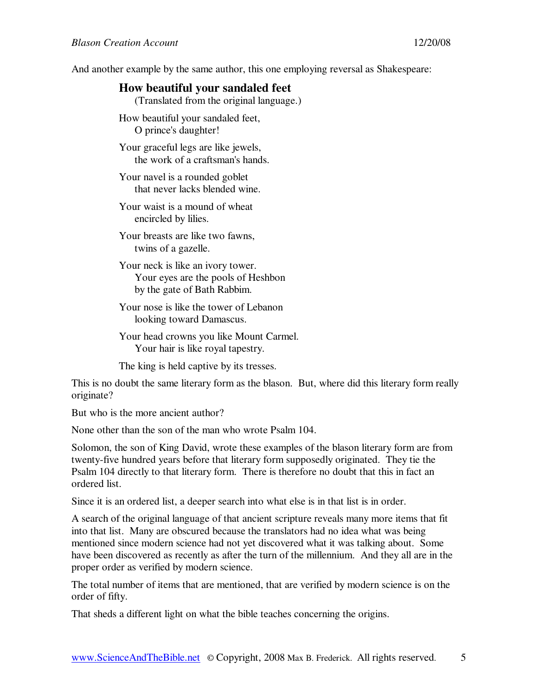And another example by the same author, this one employing reversal as Shakespeare:

### **How beautiful your sandaled feet**

(Translated from the original language.)

How beautiful your sandaled feet, O prince's daughter!

Your graceful legs are like jewels, the work of a craftsman's hands.

Your navel is a rounded goblet that never lacks blended wine.

Your waist is a mound of wheat encircled by lilies.

Your breasts are like two fawns, twins of a gazelle.

Your neck is like an ivory tower. Your eyes are the pools of Heshbon by the gate of Bath Rabbim.

Your nose is like the tower of Lebanon looking toward Damascus.

Your head crowns you like Mount Carmel. Your hair is like royal tapestry.

The king is held captive by its tresses.

This is no doubt the same literary form as the blason. But, where did this literary form really originate?

But who is the more ancient author?

None other than the son of the man who wrote Psalm 104.

Solomon, the son of King David, wrote these examples of the blason literary form are from twenty-five hundred years before that literary form supposedly originated. They tie the Psalm 104 directly to that literary form. There is therefore no doubt that this in fact an ordered list.

Since it is an ordered list, a deeper search into what else is in that list is in order.

A search of the original language of that ancient scripture reveals many more items that fit into that list. Many are obscured because the translators had no idea what was being mentioned since modern science had not yet discovered what it was talking about. Some have been discovered as recently as after the turn of the millennium. And they all are in the proper order as verified by modern science.

The total number of items that are mentioned, that are verified by modern science is on the order of fifty.

That sheds a different light on what the bible teaches concerning the origins.